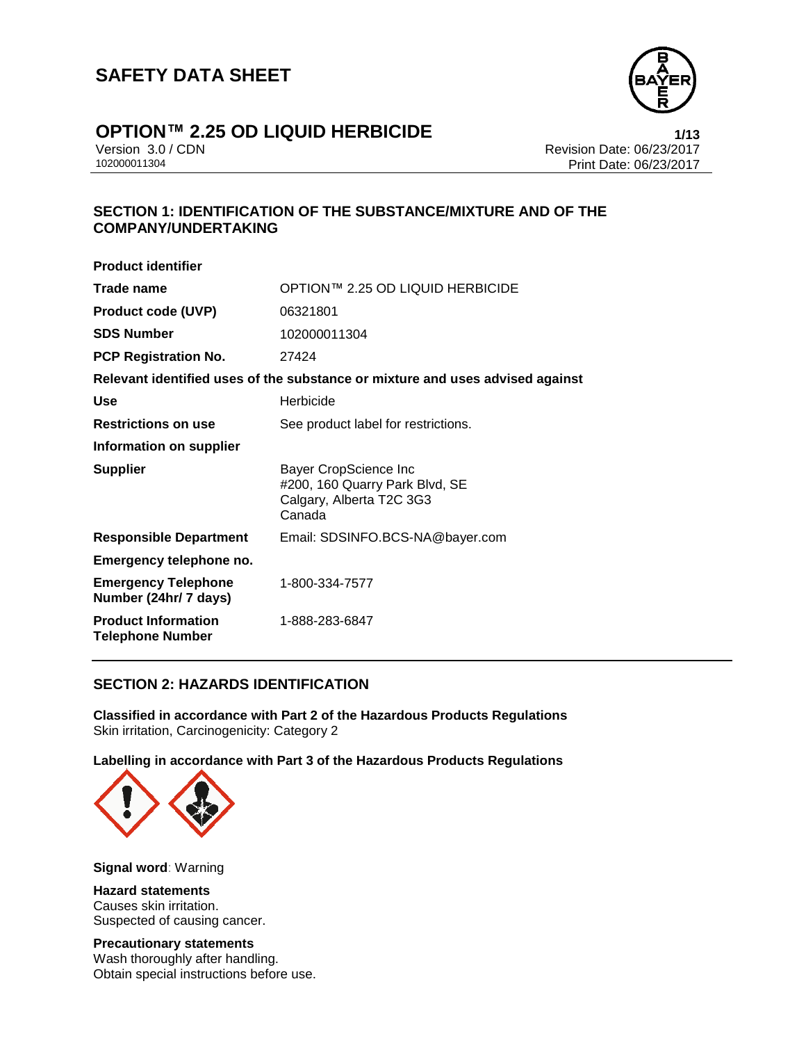

## **OPTION™ 2.25 OD LIQUID HERBICIDE 1/13**

Version 3.0 / CDN<br>102000011304<br>Print Date: 06/23/2017 Print Date: 06/23/2017

## **SECTION 1: IDENTIFICATION OF THE SUBSTANCE/MIXTURE AND OF THE COMPANY/UNDERTAKING**

| <b>Product identifier</b>                             |                                                                                               |
|-------------------------------------------------------|-----------------------------------------------------------------------------------------------|
| Trade name                                            | OPTION™ 2.25 OD LIQUID HERBICIDE                                                              |
| <b>Product code (UVP)</b>                             | 06321801                                                                                      |
| <b>SDS Number</b>                                     | 102000011304                                                                                  |
| <b>PCP Registration No.</b>                           | 27424                                                                                         |
|                                                       | Relevant identified uses of the substance or mixture and uses advised against                 |
| Use                                                   | Herbicide                                                                                     |
| <b>Restrictions on use</b>                            | See product label for restrictions.                                                           |
| Information on supplier                               |                                                                                               |
| <b>Supplier</b>                                       | Bayer CropScience Inc<br>#200, 160 Quarry Park Blvd, SE<br>Calgary, Alberta T2C 3G3<br>Canada |
| <b>Responsible Department</b>                         | Email: SDSINFO.BCS-NA@bayer.com                                                               |
| Emergency telephone no.                               |                                                                                               |
| <b>Emergency Telephone</b><br>Number (24hr/ 7 days)   | 1-800-334-7577                                                                                |
| <b>Product Information</b><br><b>Telephone Number</b> | 1-888-283-6847                                                                                |

### **SECTION 2: HAZARDS IDENTIFICATION**

**Classified in accordance with Part 2 of the Hazardous Products Regulations** Skin irritation, Carcinogenicity: Category 2

**Labelling in accordance with Part 3 of the Hazardous Products Regulations**



**Signal word**: Warning

**Hazard statements** Causes skin irritation. Suspected of causing cancer.

**Precautionary statements** Wash thoroughly after handling. Obtain special instructions before use.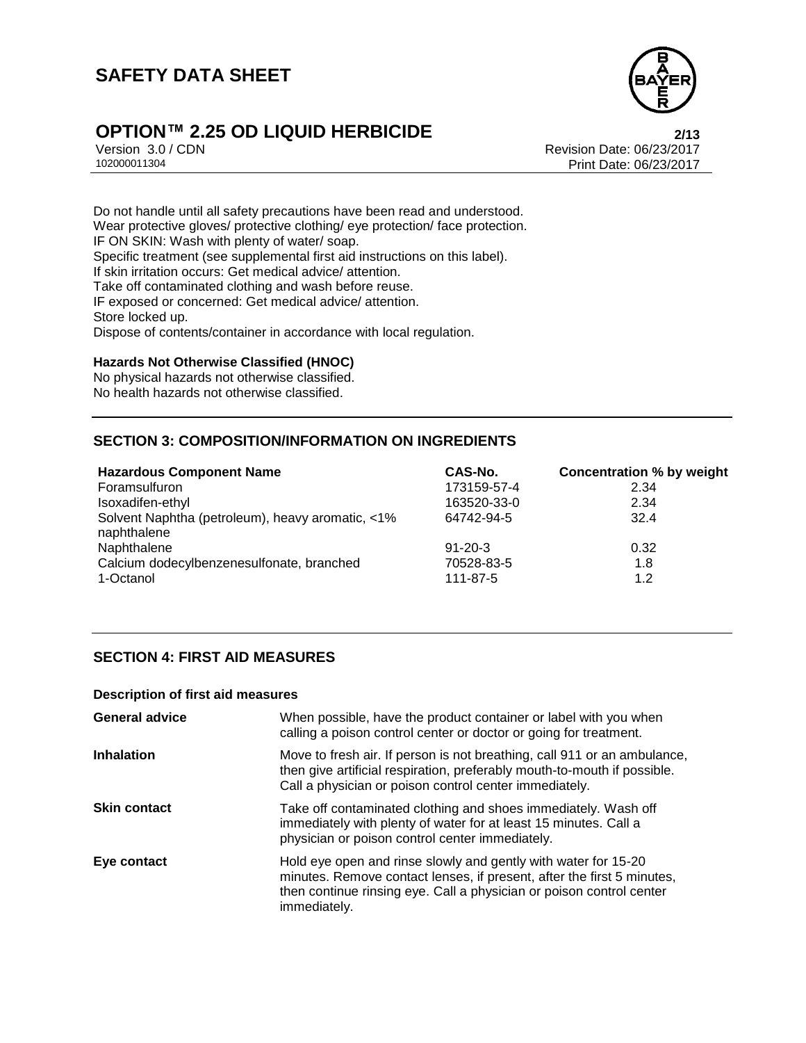

# **OPTION™ 2.25 OD LIQUID HERBICIDE**<br>Version 3.0 / CDN<br>Revision Date: 06/23/2017

Version 3.0 / CDN<br>102000011304<br>Print Date: 06/23/2017 Print Date: 06/23/2017

Do not handle until all safety precautions have been read and understood. Wear protective gloves/ protective clothing/ eye protection/ face protection. IF ON SKIN: Wash with plenty of water/ soap. Specific treatment (see supplemental first aid instructions on this label). If skin irritation occurs: Get medical advice/ attention. Take off contaminated clothing and wash before reuse. IF exposed or concerned: Get medical advice/ attention. Store locked up. Dispose of contents/container in accordance with local regulation.

#### **Hazards Not Otherwise Classified (HNOC)**

No physical hazards not otherwise classified. No health hazards not otherwise classified.

### **SECTION 3: COMPOSITION/INFORMATION ON INGREDIENTS**

| <b>Hazardous Component Name</b>                                 | CAS-No.       | <b>Concentration % by weight</b> |
|-----------------------------------------------------------------|---------------|----------------------------------|
| Foramsulfuron                                                   | 173159-57-4   | 2.34                             |
| Isoxadifen-ethyl                                                | 163520-33-0   | 2.34                             |
| Solvent Naphtha (petroleum), heavy aromatic, <1%<br>naphthalene | 64742-94-5    | 32.4                             |
| Naphthalene                                                     | $91 - 20 - 3$ | 0.32                             |
| Calcium dodecylbenzenesulfonate, branched                       | 70528-83-5    | 1.8                              |
| 1-Octanol                                                       | 111-87-5      | 1.2                              |

### **SECTION 4: FIRST AID MEASURES**

#### **Description of first aid measures**

| <b>General advice</b> | When possible, have the product container or label with you when<br>calling a poison control center or doctor or going for treatment.                                                                                            |
|-----------------------|----------------------------------------------------------------------------------------------------------------------------------------------------------------------------------------------------------------------------------|
| <b>Inhalation</b>     | Move to fresh air. If person is not breathing, call 911 or an ambulance,<br>then give artificial respiration, preferably mouth-to-mouth if possible.<br>Call a physician or poison control center immediately.                   |
| <b>Skin contact</b>   | Take off contaminated clothing and shoes immediately. Wash off<br>immediately with plenty of water for at least 15 minutes. Call a<br>physician or poison control center immediately.                                            |
| Eye contact           | Hold eye open and rinse slowly and gently with water for 15-20<br>minutes. Remove contact lenses, if present, after the first 5 minutes,<br>then continue rinsing eye. Call a physician or poison control center<br>immediately. |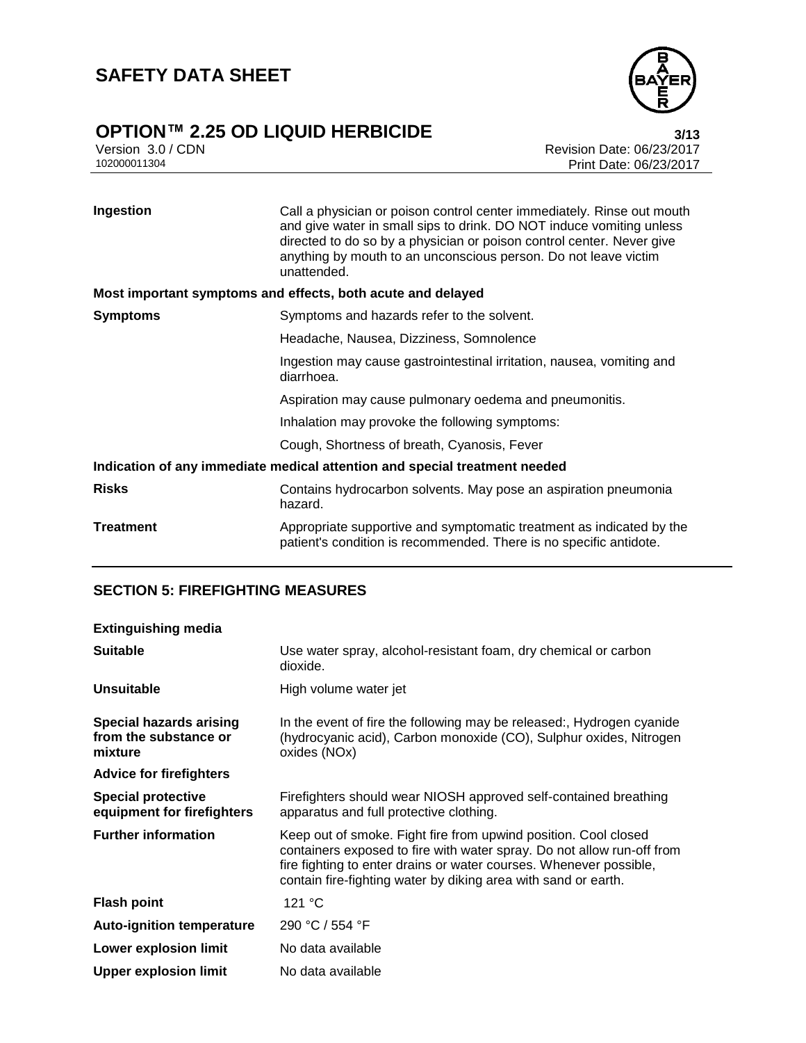

# **OPTION™ 2.25 OD LIQUID HERBICIDE**<br>Version 3.0 / CDN Revision Date: 06/23/2017

Version 3.0 / CDN<br>102000011304<br>Print Date: 06/23/2017<br>Print Date: 06/23/2017 Print Date: 06/23/2017

| Ingestion        | Call a physician or poison control center immediately. Rinse out mouth<br>and give water in small sips to drink. DO NOT induce vomiting unless<br>directed to do so by a physician or poison control center. Never give<br>anything by mouth to an unconscious person. Do not leave victim<br>unattended. |
|------------------|-----------------------------------------------------------------------------------------------------------------------------------------------------------------------------------------------------------------------------------------------------------------------------------------------------------|
|                  | Most important symptoms and effects, both acute and delayed                                                                                                                                                                                                                                               |
| <b>Symptoms</b>  | Symptoms and hazards refer to the solvent.                                                                                                                                                                                                                                                                |
|                  | Headache, Nausea, Dizziness, Somnolence                                                                                                                                                                                                                                                                   |
|                  | Ingestion may cause gastrointestinal irritation, nausea, vomiting and<br>diarrhoea.                                                                                                                                                                                                                       |
|                  | Aspiration may cause pulmonary oedema and pneumonitis.                                                                                                                                                                                                                                                    |
|                  | Inhalation may provoke the following symptoms:                                                                                                                                                                                                                                                            |
|                  | Cough, Shortness of breath, Cyanosis, Fever                                                                                                                                                                                                                                                               |
|                  | Indication of any immediate medical attention and special treatment needed                                                                                                                                                                                                                                |
| <b>Risks</b>     | Contains hydrocarbon solvents. May pose an aspiration pneumonia<br>hazard.                                                                                                                                                                                                                                |
| <b>Treatment</b> | Appropriate supportive and symptomatic treatment as indicated by the<br>patient's condition is recommended. There is no specific antidote.                                                                                                                                                                |

## **SECTION 5: FIREFIGHTING MEASURES**

| <b>Extinguishing media</b>                                         |                                                                                                                                                                                                                                                                                   |
|--------------------------------------------------------------------|-----------------------------------------------------------------------------------------------------------------------------------------------------------------------------------------------------------------------------------------------------------------------------------|
| <b>Suitable</b>                                                    | Use water spray, alcohol-resistant foam, dry chemical or carbon<br>dioxide.                                                                                                                                                                                                       |
| <b>Unsuitable</b>                                                  | High volume water jet                                                                                                                                                                                                                                                             |
| <b>Special hazards arising</b><br>from the substance or<br>mixture | In the event of fire the following may be released:, Hydrogen cyanide<br>(hydrocyanic acid), Carbon monoxide (CO), Sulphur oxides, Nitrogen<br>oxides (NOx)                                                                                                                       |
| <b>Advice for firefighters</b>                                     |                                                                                                                                                                                                                                                                                   |
| <b>Special protective</b><br>equipment for firefighters            | Firefighters should wear NIOSH approved self-contained breathing<br>apparatus and full protective clothing.                                                                                                                                                                       |
| <b>Further information</b>                                         | Keep out of smoke. Fight fire from upwind position. Cool closed<br>containers exposed to fire with water spray. Do not allow run-off from<br>fire fighting to enter drains or water courses. Whenever possible,<br>contain fire-fighting water by diking area with sand or earth. |
| <b>Flash point</b>                                                 | 121 °C                                                                                                                                                                                                                                                                            |
| <b>Auto-ignition temperature</b>                                   | 290 °C / 554 °F                                                                                                                                                                                                                                                                   |
| <b>Lower explosion limit</b>                                       | No data available                                                                                                                                                                                                                                                                 |
| <b>Upper explosion limit</b>                                       | No data available                                                                                                                                                                                                                                                                 |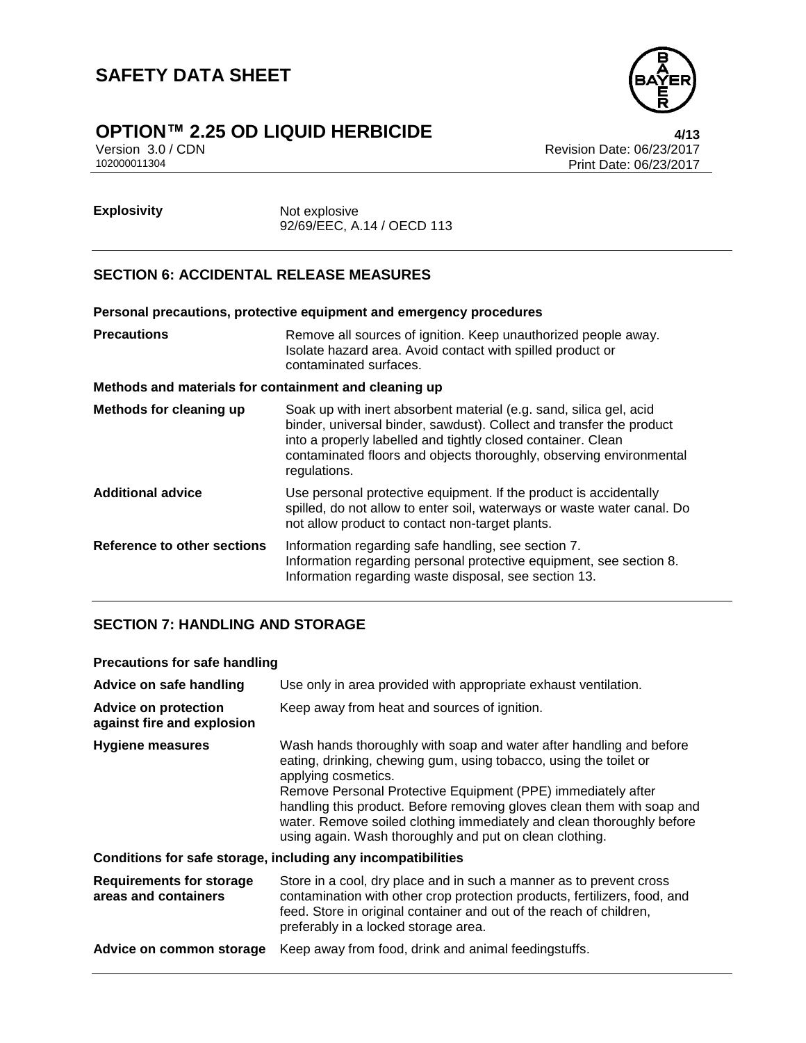

# **OPTION™ 2.25 OD LIQUID HERBICIDE**<br>Version 3.0 / CDN Revision Date: 06/23/2017

Version 3.0 / CDN<br>102000011304<br>Print Date: 06/23/2017<br>Print Date: 06/23/2017 Print Date: 06/23/2017

**Explosivity** Not explosive 92/69/EEC, A.14 / OECD 113

## **SECTION 6: ACCIDENTAL RELEASE MEASURES**

|                                                       | Personal precautions, protective equipment and emergency procedures                                                                                                                                                                                                                               |
|-------------------------------------------------------|---------------------------------------------------------------------------------------------------------------------------------------------------------------------------------------------------------------------------------------------------------------------------------------------------|
| <b>Precautions</b>                                    | Remove all sources of ignition. Keep unauthorized people away.<br>Isolate hazard area. Avoid contact with spilled product or<br>contaminated surfaces.                                                                                                                                            |
| Methods and materials for containment and cleaning up |                                                                                                                                                                                                                                                                                                   |
| <b>Methods for cleaning up</b>                        | Soak up with inert absorbent material (e.g. sand, silica gel, acid<br>binder, universal binder, sawdust). Collect and transfer the product<br>into a properly labelled and tightly closed container. Clean<br>contaminated floors and objects thoroughly, observing environmental<br>regulations. |
| <b>Additional advice</b>                              | Use personal protective equipment. If the product is accidentally<br>spilled, do not allow to enter soil, waterways or waste water canal. Do<br>not allow product to contact non-target plants.                                                                                                   |
| <b>Reference to other sections</b>                    | Information regarding safe handling, see section 7.<br>Information regarding personal protective equipment, see section 8.<br>Information regarding waste disposal, see section 13.                                                                                                               |

## **SECTION 7: HANDLING AND STORAGE**

| <b>Precautions for safe handling</b>                      |                                                                                                                                                                                                                                                                                                                                                                                                                                               |
|-----------------------------------------------------------|-----------------------------------------------------------------------------------------------------------------------------------------------------------------------------------------------------------------------------------------------------------------------------------------------------------------------------------------------------------------------------------------------------------------------------------------------|
| Advice on safe handling                                   | Use only in area provided with appropriate exhaust ventilation.                                                                                                                                                                                                                                                                                                                                                                               |
| <b>Advice on protection</b><br>against fire and explosion | Keep away from heat and sources of ignition.                                                                                                                                                                                                                                                                                                                                                                                                  |
| <b>Hygiene measures</b>                                   | Wash hands thoroughly with soap and water after handling and before<br>eating, drinking, chewing gum, using tobacco, using the toilet or<br>applying cosmetics.<br>Remove Personal Protective Equipment (PPE) immediately after<br>handling this product. Before removing gloves clean them with soap and<br>water. Remove soiled clothing immediately and clean thoroughly before<br>using again. Wash thoroughly and put on clean clothing. |
|                                                           | Conditions for safe storage, including any incompatibilities                                                                                                                                                                                                                                                                                                                                                                                  |
| <b>Requirements for storage</b><br>areas and containers   | Store in a cool, dry place and in such a manner as to prevent cross<br>contamination with other crop protection products, fertilizers, food, and<br>feed. Store in original container and out of the reach of children,<br>preferably in a locked storage area.                                                                                                                                                                               |
| Advice on common storage                                  | Keep away from food, drink and animal feedingstuffs.                                                                                                                                                                                                                                                                                                                                                                                          |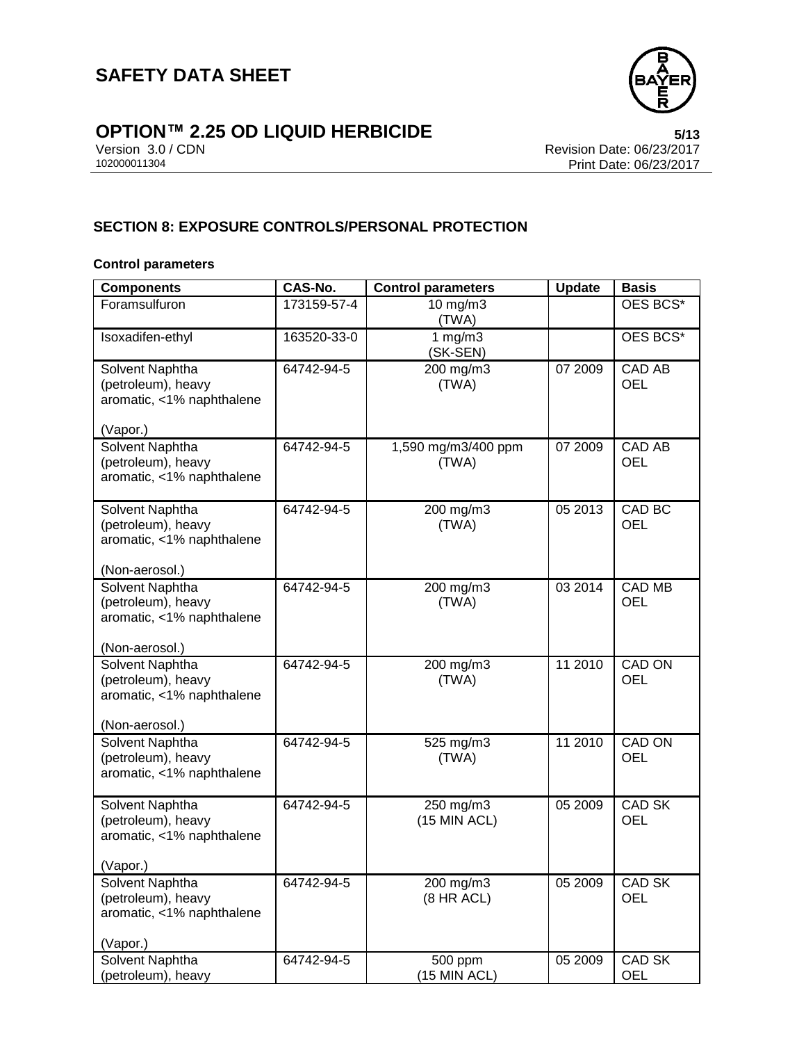

# **OPTION™ 2.25 OD LIQUID HERBICIDE**<br>Version 3.0 / CDN Revision Date: 06/23/2017

Version 3.0 / CDN<br>102000011304<br>Print Date: 06/23/2017<br>Print Date: 06/23/2017 Print Date: 06/23/2017

## **SECTION 8: EXPOSURE CONTROLS/PERSONAL PROTECTION**

#### **Control parameters**

| <b>Components</b>                                                                    | CAS-No.     | <b>Control parameters</b>    | <b>Update</b> | <b>Basis</b>                |
|--------------------------------------------------------------------------------------|-------------|------------------------------|---------------|-----------------------------|
| Foramsulfuron                                                                        | 173159-57-4 | $10 \text{ mg/m}$<br>(TWA)   |               | OES BCS*                    |
| Isoxadifen-ethyl                                                                     | 163520-33-0 | 1 mg/m $3$<br>(SK-SEN)       |               | OES BCS*                    |
| Solvent Naphtha<br>(petroleum), heavy<br>aromatic, <1% naphthalene<br>(Vapor.)       | 64742-94-5  | 200 mg/m3<br>(TWA)           | 07 2009       | <b>CAD AB</b><br><b>OEL</b> |
| Solvent Naphtha<br>(petroleum), heavy<br>aromatic, <1% naphthalene                   | 64742-94-5  | 1,590 mg/m3/400 ppm<br>(TWA) | 07 2009       | <b>CAD AB</b><br><b>OEL</b> |
| Solvent Naphtha<br>(petroleum), heavy<br>aromatic, <1% naphthalene<br>(Non-aerosol.) | 64742-94-5  | 200 mg/m3<br>(TWA)           | 05 2013       | CAD BC<br><b>OEL</b>        |
| Solvent Naphtha<br>(petroleum), heavy<br>aromatic, <1% naphthalene<br>(Non-aerosol.) | 64742-94-5  | 200 mg/m3<br>(TWA)           | 03 2014       | <b>CAD MB</b><br><b>OEL</b> |
| Solvent Naphtha<br>(petroleum), heavy<br>aromatic, <1% naphthalene<br>(Non-aerosol.) | 64742-94-5  | 200 mg/m3<br>(TWA)           | 11 2010       | <b>CAD ON</b><br><b>OEL</b> |
| Solvent Naphtha<br>(petroleum), heavy<br>aromatic, <1% naphthalene                   | 64742-94-5  | 525 mg/m3<br>(TWA)           | 11 2010       | <b>CAD ON</b><br><b>OEL</b> |
| Solvent Naphtha<br>(petroleum), heavy<br>aromatic, <1% naphthalene<br>(Vapor.)       | 64742-94-5  | 250 mg/m3<br>(15 MIN ACL)    | 05 2009       | <b>CAD SK</b><br><b>OEL</b> |
| Solvent Naphtha<br>(petroleum), heavy<br>aromatic, <1% naphthalene<br>(Vapor.)       | 64742-94-5  | 200 mg/m3<br>$(8$ HR ACL)    | 05 2009       | CAD SK<br><b>OEL</b>        |
| Solvent Naphtha<br>(petroleum), heavy                                                | 64742-94-5  | 500 ppm<br>(15 MIN ACL)      | 05 2009       | CAD SK<br><b>OEL</b>        |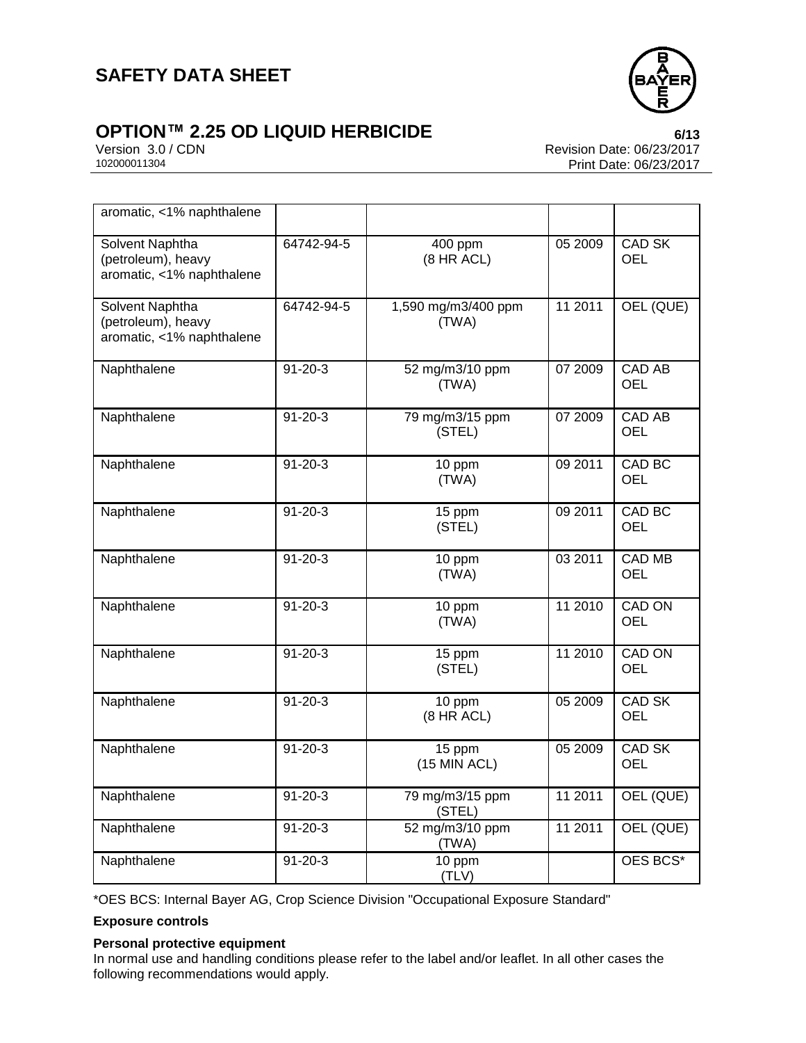

# **OPTION™ 2.25 OD LIQUID HERBICIDE**<br>Version 3.0 / CDN<br>Revision Date: 06/23/2017

Version 3.0 / CDN<br>102000011304<br>Print Date: 06/23/2017 Print Date: 06/23/2017

| aromatic, <1% naphthalene                                          |               |                                     |         |                             |
|--------------------------------------------------------------------|---------------|-------------------------------------|---------|-----------------------------|
| Solvent Naphtha<br>(petroleum), heavy<br>aromatic, <1% naphthalene | 64742-94-5    | 400 ppm<br>(8 HR ACL)               | 05 2009 | CAD SK<br><b>OEL</b>        |
| Solvent Naphtha<br>(petroleum), heavy<br>aromatic, <1% naphthalene | 64742-94-5    | 1,590 mg/m3/400 ppm<br>(TWA)        | 11 2011 | OEL (QUE)                   |
| Naphthalene                                                        | $91 - 20 - 3$ | 52 mg/m3/10 ppm<br>(TWA)            | 07 2009 | CAD AB<br><b>OEL</b>        |
| Naphthalene                                                        | $91 - 20 - 3$ | 79 mg/m3/15 ppm<br>(STEL)           | 07 2009 | <b>CAD AB</b><br><b>OEL</b> |
| Naphthalene                                                        | $91 - 20 - 3$ | 10 ppm<br>(TWA)                     | 09 2011 | <b>CAD BC</b><br><b>OEL</b> |
| Naphthalene                                                        | $91 - 20 - 3$ | 15 ppm<br>(STEL)                    | 09 2011 | <b>CAD BC</b><br><b>OEL</b> |
| Naphthalene                                                        | $91 - 20 - 3$ | 10 ppm<br>(TWA)                     | 03 2011 | <b>CAD MB</b><br><b>OEL</b> |
| Naphthalene                                                        | $91 - 20 - 3$ | 10 ppm<br>(TWA)                     | 11 2010 | <b>CAD ON</b><br><b>OEL</b> |
| Naphthalene                                                        | $91 - 20 - 3$ | 15 ppm<br>(STEL)                    | 11 2010 | <b>CAD ON</b><br><b>OEL</b> |
| Naphthalene                                                        | $91 - 20 - 3$ | 10 ppm<br>(8 HR ACL)                | 05 2009 | <b>CAD SK</b><br><b>OEL</b> |
| Naphthalene                                                        | $91 - 20 - 3$ | 15 ppm<br>(15 MIN ACL)              | 05 2009 | <b>CAD SK</b><br><b>OEL</b> |
| Naphthalene                                                        | $91 - 20 - 3$ | 79 mg/m3/15 ppm<br>(STEL)           | 11 2011 | OEL (QUE)                   |
| Naphthalene                                                        | $91 - 20 - 3$ | $\frac{1}{2}$ mg/m3/10 ppm<br>(TWA) | 11 2011 | OEL (QUE)                   |
| Naphthalene                                                        | $91 - 20 - 3$ | 10 ppm<br>(TLV)                     |         | OES BCS*                    |

\*OES BCS: Internal Bayer AG, Crop Science Division "Occupational Exposure Standard"

#### **Exposure controls**

#### **Personal protective equipment**

In normal use and handling conditions please refer to the label and/or leaflet. In all other cases the following recommendations would apply.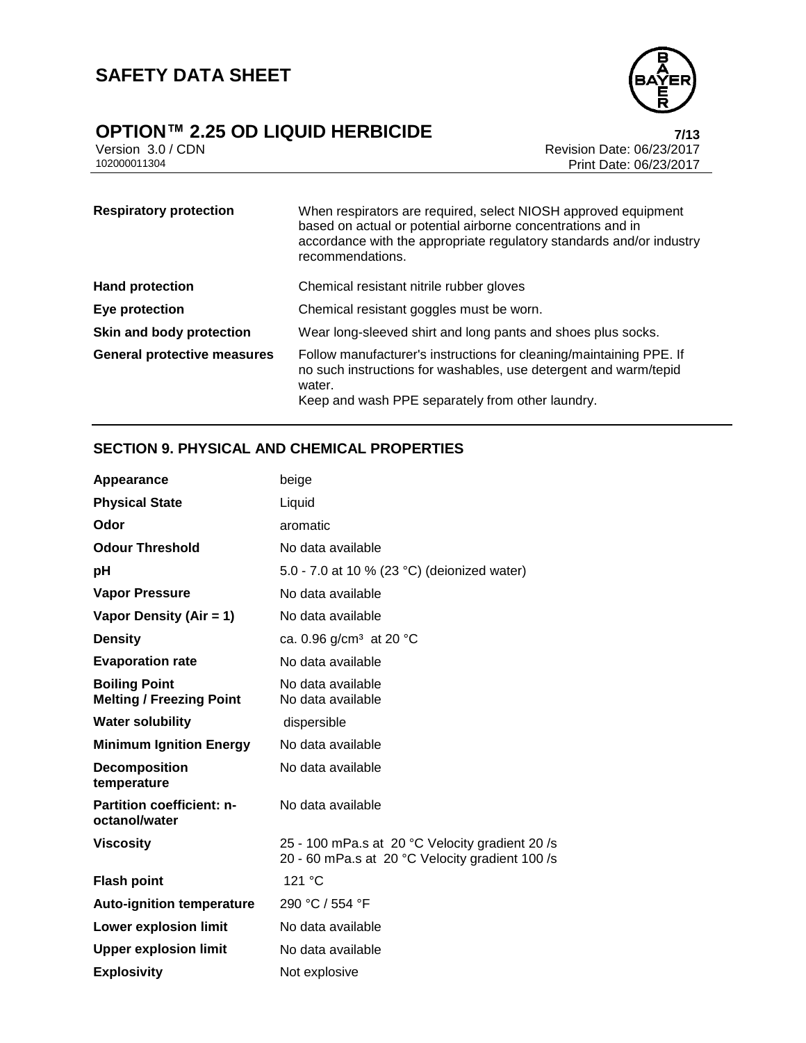

# **OPTION™ 2.25 OD LIQUID HERBICIDE**<br>Version 3.0 / CDN Revision Date: 06/23/2017

Version 3.0 / CDN<br>102000011304<br>Print Date: 06/23/2017<br>Print Date: 06/23/2017 Print Date: 06/23/2017

| <b>Respiratory protection</b>      | When respirators are required, select NIOSH approved equipment<br>based on actual or potential airborne concentrations and in<br>accordance with the appropriate regulatory standards and/or industry<br>recommendations. |
|------------------------------------|---------------------------------------------------------------------------------------------------------------------------------------------------------------------------------------------------------------------------|
| <b>Hand protection</b>             | Chemical resistant nitrile rubber gloves                                                                                                                                                                                  |
| Eye protection                     | Chemical resistant goggles must be worn.                                                                                                                                                                                  |
| Skin and body protection           | Wear long-sleeved shirt and long pants and shoes plus socks.                                                                                                                                                              |
| <b>General protective measures</b> | Follow manufacturer's instructions for cleaning/maintaining PPE. If<br>no such instructions for washables, use detergent and warm/tepid<br>water.<br>Keep and wash PPE separately from other laundry.                     |

## **SECTION 9. PHYSICAL AND CHEMICAL PROPERTIES**

| Appearance                                              | beige                                                                                              |
|---------------------------------------------------------|----------------------------------------------------------------------------------------------------|
| <b>Physical State</b>                                   | Liquid                                                                                             |
| Odor                                                    | aromatic                                                                                           |
| <b>Odour Threshold</b>                                  | No data available                                                                                  |
| pH                                                      | 5.0 - 7.0 at 10 % (23 °C) (deionized water)                                                        |
| <b>Vapor Pressure</b>                                   | No data available                                                                                  |
| Vapor Density (Air = 1)                                 | No data available                                                                                  |
| <b>Density</b>                                          | ca. 0.96 g/cm <sup>3</sup> at 20 °C                                                                |
| <b>Evaporation rate</b>                                 | No data available                                                                                  |
| <b>Boiling Point</b><br><b>Melting / Freezing Point</b> | No data available<br>No data available                                                             |
| <b>Water solubility</b>                                 | dispersible                                                                                        |
| <b>Minimum Ignition Energy</b>                          | No data available                                                                                  |
| <b>Decomposition</b><br>temperature                     | No data available                                                                                  |
| <b>Partition coefficient: n-</b><br>octanol/water       | No data available                                                                                  |
| <b>Viscosity</b>                                        | 25 - 100 mPa.s at 20 °C Velocity gradient 20 /s<br>20 - 60 mPa.s at 20 °C Velocity gradient 100 /s |
| <b>Flash point</b>                                      | 121 °C                                                                                             |
| <b>Auto-ignition temperature</b>                        | 290 °C / 554 °F                                                                                    |
| <b>Lower explosion limit</b>                            | No data available                                                                                  |
| <b>Upper explosion limit</b>                            | No data available                                                                                  |
| <b>Explosivity</b>                                      | Not explosive                                                                                      |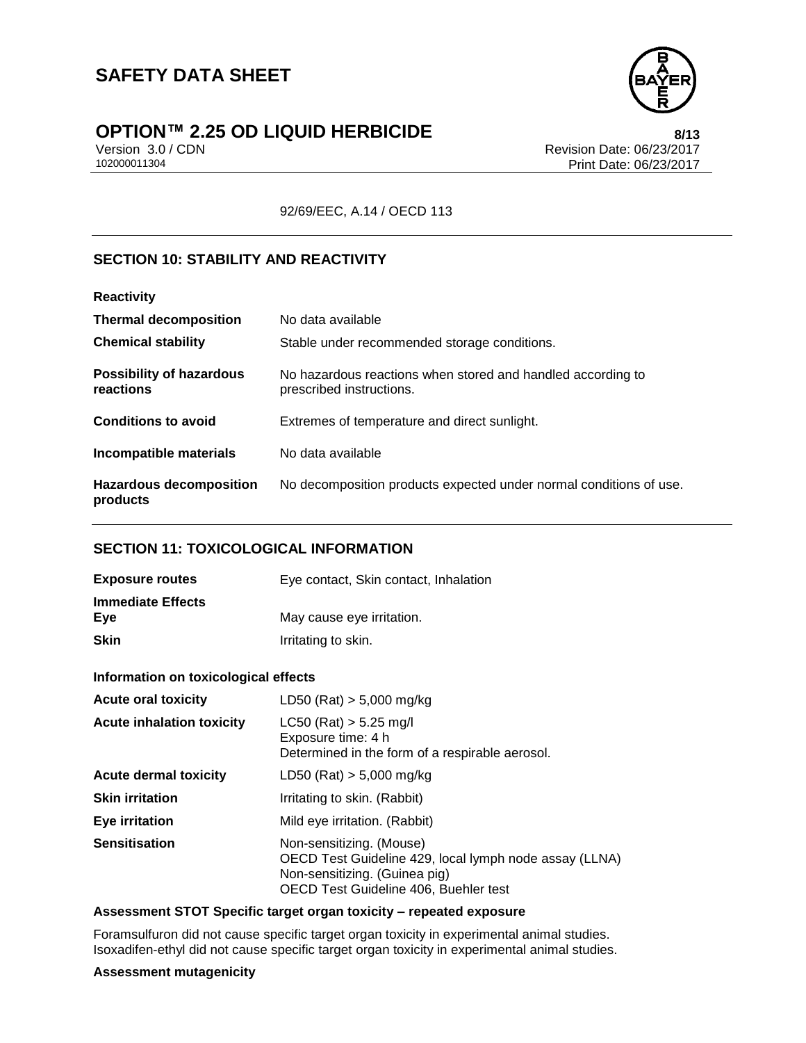

# **OPTION™ 2.25 OD LIQUID HERBICIDE 8/13**

Version 3.0 / CDN<br>102000011304<br>Print Date: 06/23/2017 Print Date: 06/23/2017

92/69/EEC, A.14 / OECD 113

## **SECTION 10: STABILITY AND REACTIVITY**

| <b>Reactivity</b>                            |                                                                                         |
|----------------------------------------------|-----------------------------------------------------------------------------------------|
| <b>Thermal decomposition</b>                 | No data available                                                                       |
| <b>Chemical stability</b>                    | Stable under recommended storage conditions.                                            |
| <b>Possibility of hazardous</b><br>reactions | No hazardous reactions when stored and handled according to<br>prescribed instructions. |
| <b>Conditions to avoid</b>                   | Extremes of temperature and direct sunlight.                                            |
| Incompatible materials                       | No data available                                                                       |
| <b>Hazardous decomposition</b><br>products   | No decomposition products expected under normal conditions of use.                      |

### **SECTION 11: TOXICOLOGICAL INFORMATION**

| <b>Exposure routes</b>          | Eye contact, Skin contact, Inhalation |
|---------------------------------|---------------------------------------|
| <b>Immediate Effects</b><br>Eve | May cause eye irritation.             |
| Skin                            | Irritating to skin.                   |

#### **Information on toxicological effects**

| <b>Acute oral toxicity</b>       | LD50 (Rat) $> 5,000$ mg/kg                                                                                                                                   |
|----------------------------------|--------------------------------------------------------------------------------------------------------------------------------------------------------------|
| <b>Acute inhalation toxicity</b> | $LC50$ (Rat) $> 5.25$ mg/l<br>Exposure time: 4 h<br>Determined in the form of a respirable aerosol.                                                          |
| <b>Acute dermal toxicity</b>     | $LD50$ (Rat) $> 5,000$ mg/kg                                                                                                                                 |
| <b>Skin irritation</b>           | Irritating to skin. (Rabbit)                                                                                                                                 |
| <b>Eye irritation</b>            | Mild eye irritation. (Rabbit)                                                                                                                                |
| <b>Sensitisation</b>             | Non-sensitizing. (Mouse)<br>OECD Test Guideline 429, local lymph node assay (LLNA)<br>Non-sensitizing. (Guinea pig)<br>OECD Test Guideline 406, Buehler test |

#### **Assessment STOT Specific target organ toxicity – repeated exposure**

Foramsulfuron did not cause specific target organ toxicity in experimental animal studies. Isoxadifen-ethyl did not cause specific target organ toxicity in experimental animal studies.

#### **Assessment mutagenicity**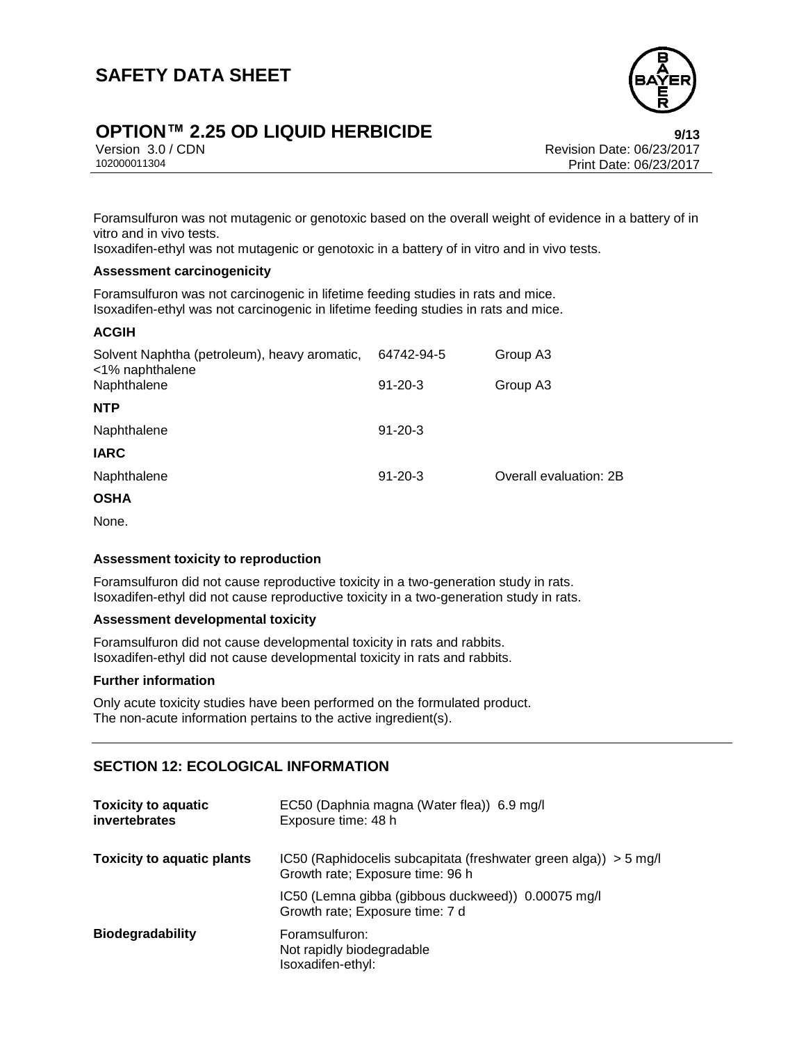

# **OPTION™ 2.25 OD LIQUID HERBICIDE 9/13**

Version 3.0 / CDN<br>102000011304<br>102000011304<br>Rrint Date: 06/23/2017 Print Date: 06/23/2017

Foramsulfuron was not mutagenic or genotoxic based on the overall weight of evidence in a battery of in vitro and in vivo tests.

Isoxadifen-ethyl was not mutagenic or genotoxic in a battery of in vitro and in vivo tests.

#### **Assessment carcinogenicity**

Foramsulfuron was not carcinogenic in lifetime feeding studies in rats and mice. Isoxadifen-ethyl was not carcinogenic in lifetime feeding studies in rats and mice.

| Solvent Naphtha (petroleum), heavy aromatic,<br><1% naphthalene<br>Naphthalene | 64742-94-5<br>$91 - 20 - 3$ | Group A3<br>Group A3   |
|--------------------------------------------------------------------------------|-----------------------------|------------------------|
| <b>NTP</b>                                                                     |                             |                        |
| Naphthalene                                                                    | $91 - 20 - 3$               |                        |
| <b>IARC</b>                                                                    |                             |                        |
| Naphthalene                                                                    | $91 - 20 - 3$               | Overall evaluation: 2B |
| <b>OSHA</b>                                                                    |                             |                        |

None.

#### **Assessment toxicity to reproduction**

Foramsulfuron did not cause reproductive toxicity in a two-generation study in rats. Isoxadifen-ethyl did not cause reproductive toxicity in a two-generation study in rats.

#### **Assessment developmental toxicity**

Foramsulfuron did not cause developmental toxicity in rats and rabbits. Isoxadifen-ethyl did not cause developmental toxicity in rats and rabbits.

#### **Further information**

Only acute toxicity studies have been performed on the formulated product. The non-acute information pertains to the active ingredient(s).

### **SECTION 12: ECOLOGICAL INFORMATION**

| <b>Toxicity to aquatic</b><br>invertebrates | EC50 (Daphnia magna (Water flea)) 6.9 mg/l<br>Exposure time: 48 h                                      |
|---------------------------------------------|--------------------------------------------------------------------------------------------------------|
| Toxicity to aquatic plants                  | IC50 (Raphidocelis subcapitata (freshwater green alga)) $>$ 5 mg/l<br>Growth rate; Exposure time: 96 h |
|                                             | IC50 (Lemna gibba (gibbous duckweed)) 0.00075 mg/l<br>Growth rate; Exposure time: 7 d                  |
| <b>Biodegradability</b>                     | Foramsulfuron:<br>Not rapidly biodegradable<br>Isoxadifen-ethyl:                                       |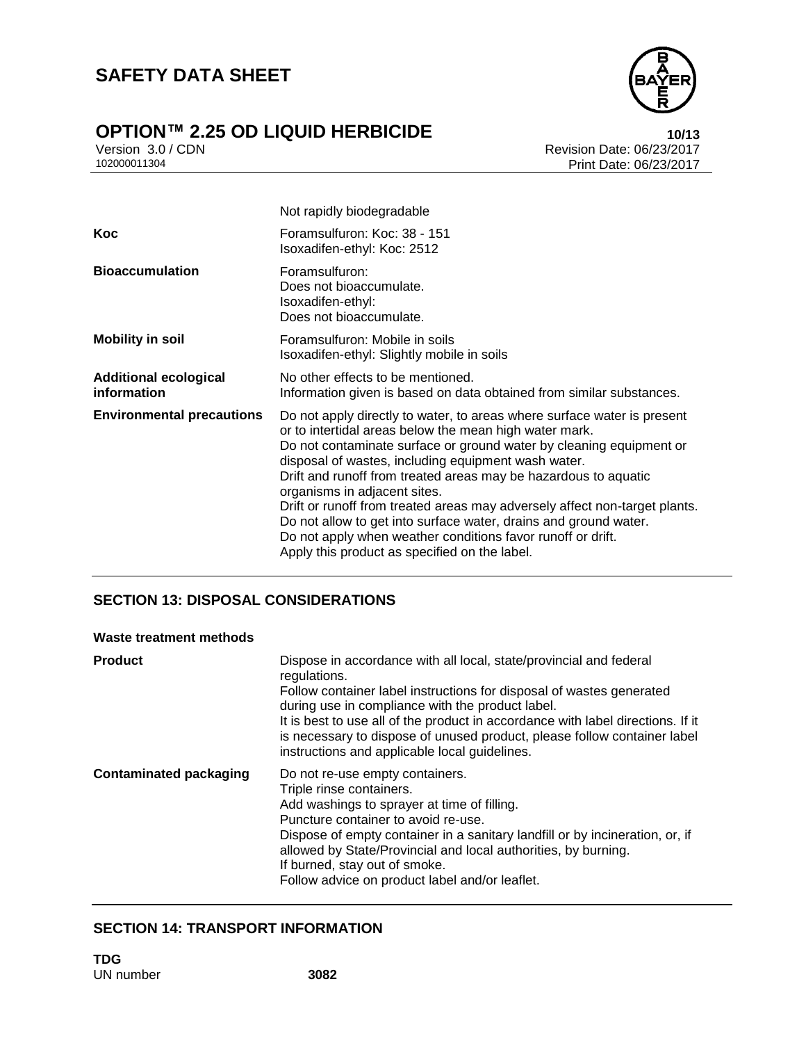

# **OPTION™ 2.25 OD LIQUID HERBICIDE**<br>Version 3.0 / CDN **Revision Date: 06/23/2017**

Version 3.0 / CDN<br>102000011304<br>Print Date: 06/23/2017<br>Print Date: 06/23/2017 Print Date: 06/23/2017

|                                             | Not rapidly biodegradable                                                                                                                                                                                                                                                                                                                                                                                                                                                                                                                                                                                                            |
|---------------------------------------------|--------------------------------------------------------------------------------------------------------------------------------------------------------------------------------------------------------------------------------------------------------------------------------------------------------------------------------------------------------------------------------------------------------------------------------------------------------------------------------------------------------------------------------------------------------------------------------------------------------------------------------------|
| Koc                                         | Foramsulfuron: Koc: 38 - 151<br>Isoxadifen-ethyl: Koc: 2512                                                                                                                                                                                                                                                                                                                                                                                                                                                                                                                                                                          |
| <b>Bioaccumulation</b>                      | Foramsulfuron:<br>Does not bioaccumulate.<br>Isoxadifen-ethyl:<br>Does not bioaccumulate.                                                                                                                                                                                                                                                                                                                                                                                                                                                                                                                                            |
| <b>Mobility in soil</b>                     | Foramsulfuron: Mobile in soils<br>Isoxadifen-ethyl: Slightly mobile in soils                                                                                                                                                                                                                                                                                                                                                                                                                                                                                                                                                         |
| <b>Additional ecological</b><br>information | No other effects to be mentioned.<br>Information given is based on data obtained from similar substances.                                                                                                                                                                                                                                                                                                                                                                                                                                                                                                                            |
| <b>Environmental precautions</b>            | Do not apply directly to water, to areas where surface water is present<br>or to intertidal areas below the mean high water mark.<br>Do not contaminate surface or ground water by cleaning equipment or<br>disposal of wastes, including equipment wash water.<br>Drift and runoff from treated areas may be hazardous to aquatic<br>organisms in adjacent sites.<br>Drift or runoff from treated areas may adversely affect non-target plants.<br>Do not allow to get into surface water, drains and ground water.<br>Do not apply when weather conditions favor runoff or drift.<br>Apply this product as specified on the label. |

## **SECTION 13: DISPOSAL CONSIDERATIONS**

#### **Waste treatment methods**

| <b>Product</b>                | Dispose in accordance with all local, state/provincial and federal<br>regulations.<br>Follow container label instructions for disposal of wastes generated<br>during use in compliance with the product label.<br>It is best to use all of the product in accordance with label directions. If it<br>is necessary to dispose of unused product, please follow container label<br>instructions and applicable local guidelines. |
|-------------------------------|--------------------------------------------------------------------------------------------------------------------------------------------------------------------------------------------------------------------------------------------------------------------------------------------------------------------------------------------------------------------------------------------------------------------------------|
| <b>Contaminated packaging</b> | Do not re-use empty containers.<br>Triple rinse containers.<br>Add washings to sprayer at time of filling.<br>Puncture container to avoid re-use.<br>Dispose of empty container in a sanitary landfill or by incineration, or, if<br>allowed by State/Provincial and local authorities, by burning.<br>If burned, stay out of smoke.<br>Follow advice on product label and/or leaflet.                                         |

## **SECTION 14: TRANSPORT INFORMATION**

**TDG** UN number **3082**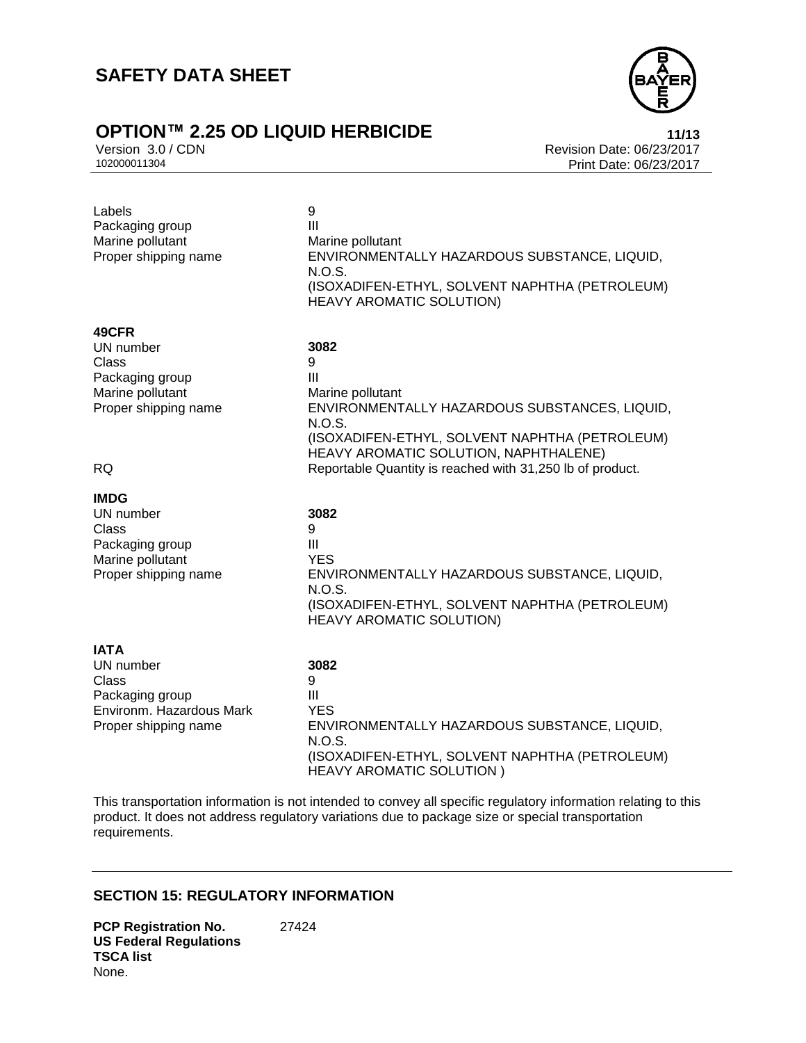



Version 3.0 / CDN<br>102000011304<br>Print Date: 06/23/2017<br>Print Date: 06/23/2017 Print Date: 06/23/2017

| Labels<br>Packaging group<br>Marine pollutant<br>Proper shipping name                                    | 9<br>III<br>Marine pollutant<br>ENVIRONMENTALLY HAZARDOUS SUBSTANCE, LIQUID,<br>N.O.S.<br>(ISOXADIFEN-ETHYL, SOLVENT NAPHTHA (PETROLEUM)<br>HEAVY AROMATIC SOLUTION)                                                                                         |
|----------------------------------------------------------------------------------------------------------|--------------------------------------------------------------------------------------------------------------------------------------------------------------------------------------------------------------------------------------------------------------|
| 49CFR<br>UN number<br>Class<br>Packaging group<br>Marine pollutant<br>Proper shipping name<br><b>RQ</b>  | 3082<br>9<br>Ш<br>Marine pollutant<br>ENVIRONMENTALLY HAZARDOUS SUBSTANCES, LIQUID,<br><b>N.O.S.</b><br>(ISOXADIFEN-ETHYL, SOLVENT NAPHTHA (PETROLEUM)<br>HEAVY AROMATIC SOLUTION, NAPHTHALENE)<br>Reportable Quantity is reached with 31,250 lb of product. |
| <b>IMDG</b><br>UN number<br>Class<br>Packaging group<br>Marine pollutant<br>Proper shipping name         | 3082<br>9<br>Ш<br><b>YES</b><br>ENVIRONMENTALLY HAZARDOUS SUBSTANCE, LIQUID,<br>N.O.S.<br>(ISOXADIFEN-ETHYL, SOLVENT NAPHTHA (PETROLEUM)<br>HEAVY AROMATIC SOLUTION)                                                                                         |
| <b>IATA</b><br>UN number<br>Class<br>Packaging group<br>Environm, Hazardous Mark<br>Proper shipping name | 3082<br>9<br>$\mathbf{III}$<br><b>YES</b><br>ENVIRONMENTALLY HAZARDOUS SUBSTANCE, LIQUID,<br>N.O.S.<br>(ISOXADIFEN-ETHYL, SOLVENT NAPHTHA (PETROLEUM)<br>HEAVY AROMATIC SOLUTION)                                                                            |

This transportation information is not intended to convey all specific regulatory information relating to this product. It does not address regulatory variations due to package size or special transportation requirements.

### **SECTION 15: REGULATORY INFORMATION**

**PCP Registration No.** 27424 **US Federal Regulations TSCA list** None.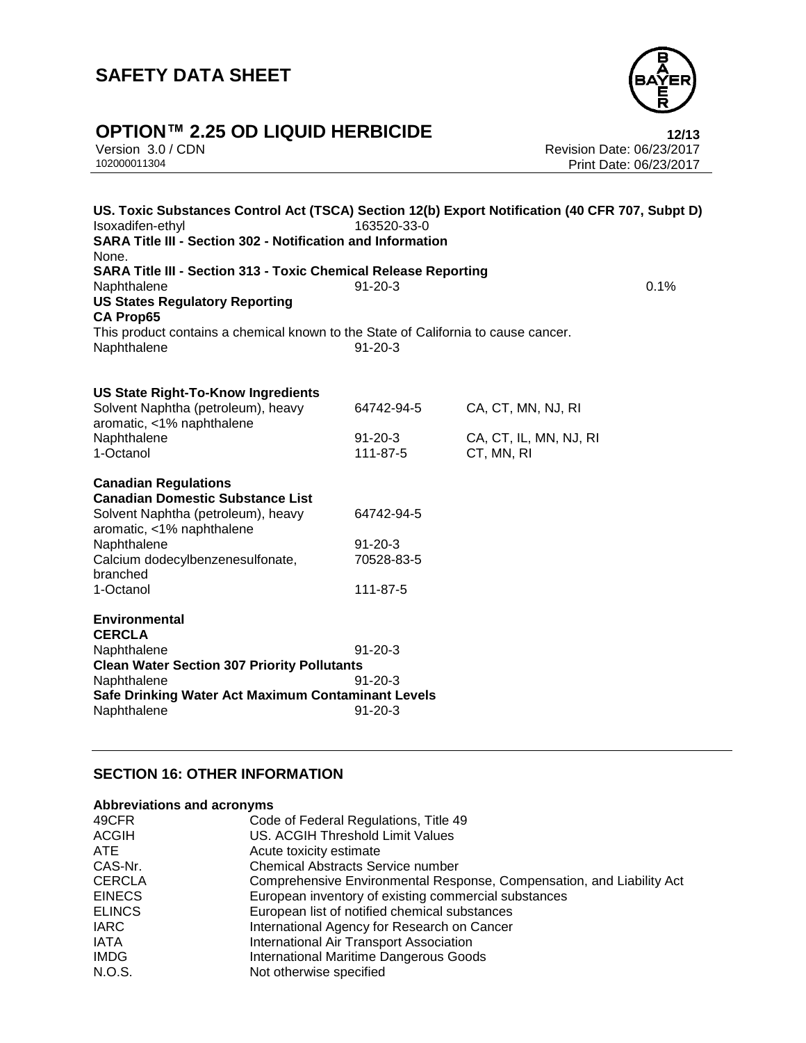

# **OPTION™ 2.25 OD LIQUID HERBICIDE**<br>Version 3.0 / CDN Revision Date: 06/23/2017

Version 3.0 / CDN<br>102000011304<br>Print Date: 06/23/2017<br>Print Date: 06/23/2017 Print Date: 06/23/2017

| US. Toxic Substances Control Act (TSCA) Section 12(b) Export Notification (40 CFR 707, Subpt D)<br>163520-33-0<br>Isoxadifen-ethyl<br><b>SARA Title III - Section 302 - Notification and Information</b><br>None.     |                                                       |                                                            |      |  |
|-----------------------------------------------------------------------------------------------------------------------------------------------------------------------------------------------------------------------|-------------------------------------------------------|------------------------------------------------------------|------|--|
| <b>SARA Title III - Section 313 - Toxic Chemical Release Reporting</b><br>Naphthalene<br><b>US States Regulatory Reporting</b><br><b>CA Prop65</b>                                                                    | $91 - 20 - 3$                                         |                                                            | 0.1% |  |
| This product contains a chemical known to the State of California to cause cancer.<br>Naphthalene                                                                                                                     | $91 - 20 - 3$                                         |                                                            |      |  |
| <b>US State Right-To-Know Ingredients</b><br>Solvent Naphtha (petroleum), heavy<br>aromatic, <1% naphthalene<br>Naphthalene<br>1-Octanol                                                                              | 64742-94-5<br>$91 - 20 - 3$<br>111-87-5               | CA, CT, MN, NJ, RI<br>CA, CT, IL, MN, NJ, RI<br>CT, MN, RI |      |  |
| <b>Canadian Regulations</b><br><b>Canadian Domestic Substance List</b><br>Solvent Naphtha (petroleum), heavy<br>aromatic, <1% naphthalene<br>Naphthalene<br>Calcium dodecylbenzenesulfonate,<br>branched<br>1-Octanol | 64742-94-5<br>$91 - 20 - 3$<br>70528-83-5<br>111-87-5 |                                                            |      |  |
| <b>Environmental</b><br><b>CERCLA</b><br>Naphthalene<br><b>Clean Water Section 307 Priority Pollutants</b><br>Naphthalene<br>Safe Drinking Water Act Maximum Contaminant Levels<br>Naphthalene                        | $91 - 20 - 3$<br>$91 - 20 - 3$<br>$91 - 20 - 3$       |                                                            |      |  |

### **SECTION 16: OTHER INFORMATION**

#### **Abbreviations and acronyms**

| 49CFR         | Code of Federal Regulations, Title 49                                 |
|---------------|-----------------------------------------------------------------------|
| <b>ACGIH</b>  | US. ACGIH Threshold Limit Values                                      |
| ATE.          | Acute toxicity estimate                                               |
| CAS-Nr.       | <b>Chemical Abstracts Service number</b>                              |
| <b>CERCLA</b> | Comprehensive Environmental Response, Compensation, and Liability Act |
| <b>EINECS</b> | European inventory of existing commercial substances                  |
| <b>ELINCS</b> | European list of notified chemical substances                         |
| <b>IARC</b>   | International Agency for Research on Cancer                           |
| <b>IATA</b>   | International Air Transport Association                               |
| <b>IMDG</b>   | <b>International Maritime Dangerous Goods</b>                         |
| N.O.S.        | Not otherwise specified                                               |